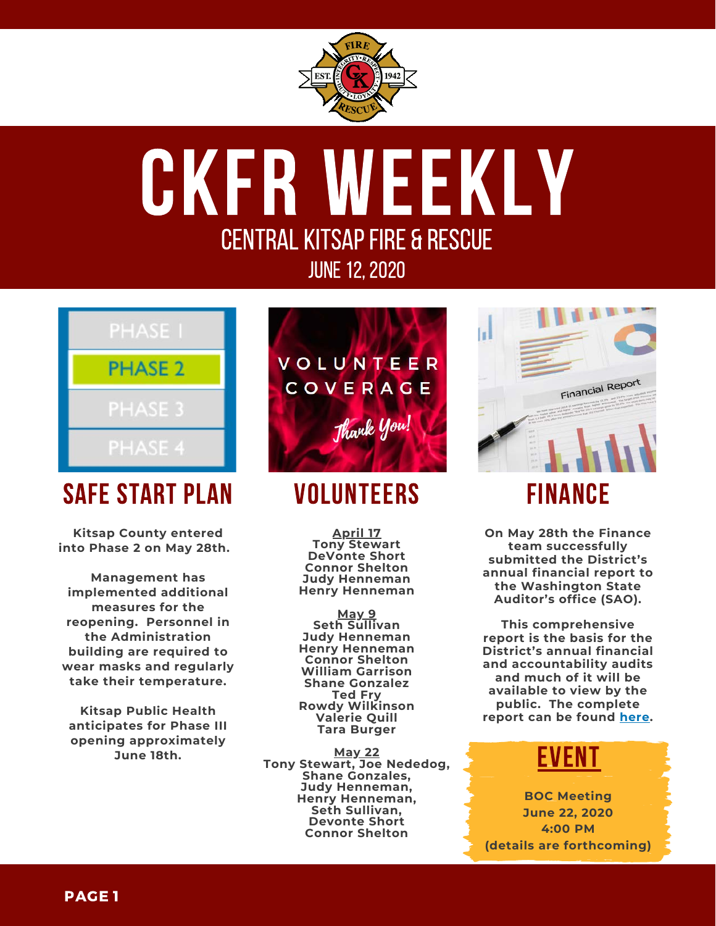

# ckfr weekly ceNTRAL KITSAP FIRE & RESCUE JUNE 12, 2020



## safe start plan

**Kitsap County entered into Phase 2 on May 28th.** 

**Management has implemented additional measures for the reopening. Personnel in the Administration building are required to wear masks and regularly take their temperature.**

**Kitsap Public Health anticipates for Phase III opening approximately June 18th.**



## **VOLUNTEERS**

**April 17 Tony Stewart DeVonte Short Connor Shelton Judy Henneman Henry Henneman**

**May 9 Seth Sullivan Judy Henneman Henry Henneman Connor Shelton William Garrison Shane Gonzalez Ted Fry Rowdy Wilkinson Valerie Quill Tara Burger**

**May 22 Tony Stewart, Joe Nededog, Shane Gonzales, Judy Henneman, Henry Henneman, Seth Sullivan, Devonte Short Connor Shelton**



### finance

**On May 28th the Finance team successfully submitted the District's annual financial report to the Washington State Auditor's office (SAO).**

**This comprehensive report is the basis for the District's annual financial and accountability audits and much of it will be available to view by the public. The complete report can be found [here.](https://ckfr.sharepoint.com/intranet/finance/Portal%20Documents/Forms/AllItems.aspx?id=%2Fintranet%2Ffinance%2FPortal%20Documents%2FFinancial%20Reports%2FAnnual%20Reports%20%2D%20SAO%2F2019%20Annual%20Report%20Package%2Epdf&parent=%2Fintranet%2Ffinance%2FPortal%20Documents%2FFinancial%20Reports%2FAnnual%20Reports%20%2D%20SAO)**

#### event

**BOC Meeting June 22, 2020 4:00 PM (details are forthcoming)**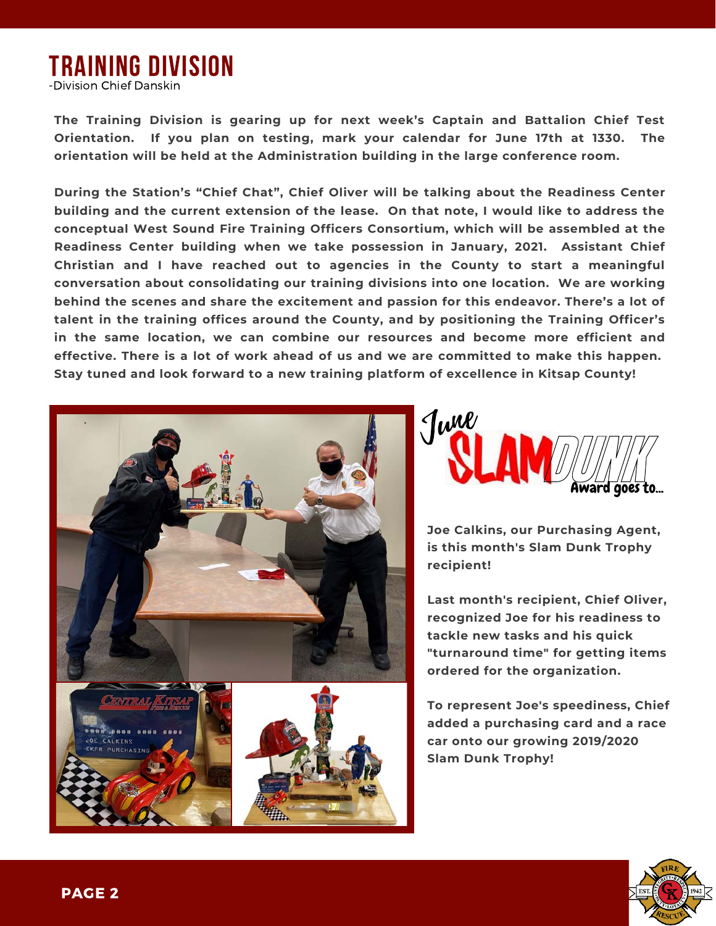### training division

-Division Chief Danskin

**The Training Division is gearing up for next week's Captain and Battalion Chief Test Orientation. If you plan on testing, mark your calendar for June 17th at 1330. The orientation will be held at the Administration building in the large conference room.**

**During the Station's "Chief Chat", Chief Oliver will be talking about the Readiness Center building and the current extension of the lease. On that note, I would like to address the conceptual West Sound Fire Training Officers Consortium, which will be assembled at the Readiness Center building when we take possession in January, 2021. Assistant Chief Christian and I have reached out to agencies in the County to start a meaningful conversation about consolidating our training divisions into one location. We are working behind the scenes and share the excitement and passion for this endeavor. There's a lot of talent in the training offices around the County, and by positioning the Training Officer's in the same location, we can combine our resources and become more efficient and effective. There is a lot of work ahead of us and we are committed to make this happen. Stay tuned and look forward to a new training platform of excellence in Kitsap County!**





**Joe Calkins, our Purchasing Agent, is this month's Slam Dunk Trophy recipient!**

**Last month's recipient, Chief Oliver, recognized Joe for his readiness to tackle new tasks and his quick "turnaround time" for getting items ordered for the organization.**

**To represent Joe's speediness, Chief added a purchasing card and a race car onto our growing 2019/2020 Slam Dunk Trophy!**